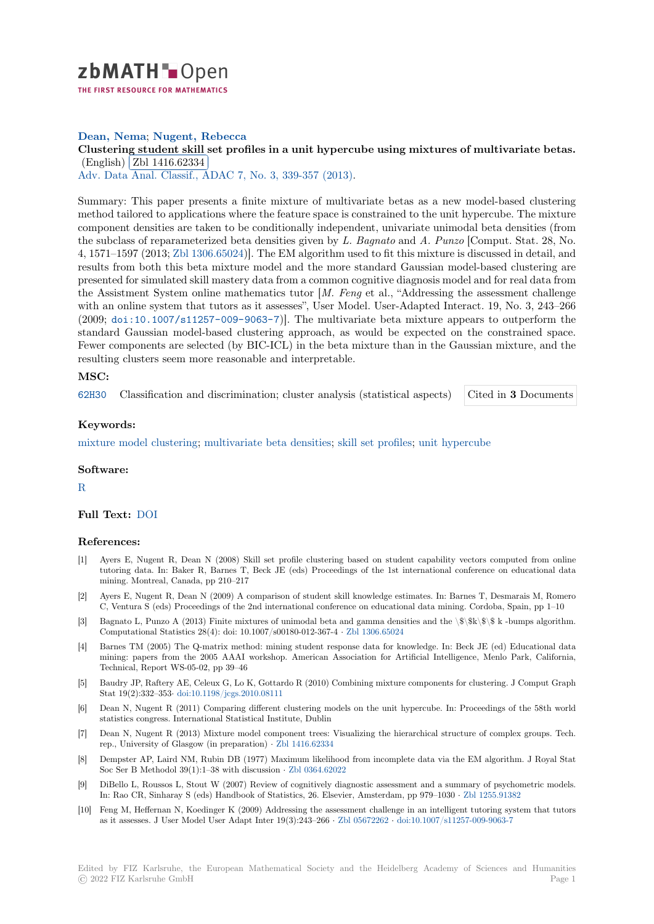

# **Dean, Nema**; **Nugent, Rebecca**

# [C](https://zbmath.org/)lustering student skill set profiles in a unit hypercube using mixtures of multivariate betas.

(English) Zbl 1416.62334 Adv. Data Anal. Classif., ADAC 7, No. 3, 339-357 (2013).

[Summary: This paper presents a finite mixture of multivariate betas as a new model-based clustering](https://zbmath.org/1416.62334) method ta[ilored to applicatio](https://zbmath.org/1416.62334)ns where the feature space is constrained to the unit hypercube. The mixture [component densities are taken to](https://zbmath.org/journals/?q=se:4917) [be conditionally indepen](https://zbmath.org/?q=in:323816)dent, univariate unimodal beta densities (from the subclass of reparameterized beta densities given by *L. Bagnato* and *A. Punzo* [Comput. Stat. 28, No. 4, 1571–1597 (2013; Zbl 1306.65024)]. The EM algorithm used to fit this mixture is discussed in detail, and results from both this beta mixture model and the more standard Gaussian model-based clustering are presented for simulated skill mastery data from a common cognitive diagnosis model and for real data from the Assistment System online mathematics tutor [*M. Feng* et al., "Addressing the assessment challenge with an online syst[em that tutors a](https://zbmath.org/?q=an:1306.65024)s it assesses", User Model. User-Adapted Interact. 19, No. 3, 243–266 (2009; doi:10.1007/s11257-009-9063-7)]. The multivariate beta mixture appears to outperform the standard Gaussian model-based clustering approach, as would be expected on the constrained space. Fewer components are selected (by BIC-ICL) in the beta mixture than in the Gaussian mixture, and the resulting clusters seem more reasonable and interpretable.

#### **MSC:**

62H30 Classification and discrimination; cluster analysis (statistical aspects) Cited in **3** Documents

# **Keywords:**

[mixtur](https://zbmath.org/classification/?q=cc:62H30)e model clustering; multivariate beta densities; skill set profiles; unit hype[rcube](https://zbmath.org/?q=rf:1416.62334|6210927)

#### **Software:**

[R](https://zbmath.org/?q=ut:mixture+model+clustering)

# **Full Text:** DOI

#### **[R](https://swmath.org/software/771)eferences:**

- [1] Ayers E, Nugent R, Dean N (2008) Skill set profile clustering based on student capability vectors computed from online tutoring [data.](https://dx.doi.org/10.1007/s11634-013-0149-z) In: Baker R, Barnes T, Beck JE (eds) Proceedings of the 1st international conference on educational data mining. Montreal, Canada, pp 210–217
- [2] Ayers E, Nugent R, Dean N (2009) A comparison of student skill knowledge estimates. In: Barnes T, Desmarais M, Romero C, Ventura S (eds) Proceedings of the 2nd international conference on educational data mining. Cordoba, Spain, pp 1–10
- [3] Bagnato L, Punzo A (2013) Finite mixtures of unimodal beta and gamma densities and the \\$\\$k\\$\\$ k -bumps algorithm. Computational Statistics 28(4): doi: 10.1007/s00180-012-367-4 *·* Zbl 1306.65024
- [4] Barnes TM (2005) The Q-matrix method: mining student response data for knowledge. In: Beck JE (ed) Educational data mining: papers from the 2005 AAAI workshop. American Association for Artificial Intelligence, Menlo Park, California, Technical, Report WS-05-02, pp 39–46
- [5] Baudry JP, Raftery AE, Celeux G, Lo K, Gottardo R (2010) Co[mbining mixture](https://zbmath.org/1306.65024) components for clustering. J Comput Graph Stat 19(2):332–353*·* doi:10.1198/jcgs.2010.08111
- [6] Dean N, Nugent R (2011) Comparing different clustering models on the unit hypercube. In: Proceedings of the 58th world statistics congress. International Statistical Institute, Dublin
- [7] Dean N, Nugent R (2013) Mixture model component trees: Visualizing the hierarchical structure of complex groups. Tech. rep., University of [Glasgow \(in preparation\)](https://dx.doi.org/10.1198/jcgs.2010.08111) *·* Zbl 1416.62334
- [8] Dempster AP, Laird NM, Rubin DB (1977) Maximum likelihood from incomplete data via the EM algorithm. J Royal Stat Soc Ser B Methodol 39(1):1–38 with discussion *·* Zbl 0364.62022
- [9] DiBello L, Roussos L, Stout W (2007) Review of cognitively diagnostic assessment and a summary of psychometric models. In: Rao CR, Sinharay S (eds) Handbook of S[tatistics, 26. Els](https://zbmath.org/1416.62334)evier, Amsterdam, pp 979–1030 *·* Zbl 1255.91382
- [10] Feng M, Heffernan N, Koedinger K (2009) Addressing the assessment challenge in an intelligent tutoring system that tutors as it assesses. J User Model User Adapt Inter 19([3\):243–266](https://zbmath.org/0364.62022) *·* Zbl 05672262 *·* doi:10.1007/s11257-009-9063-7